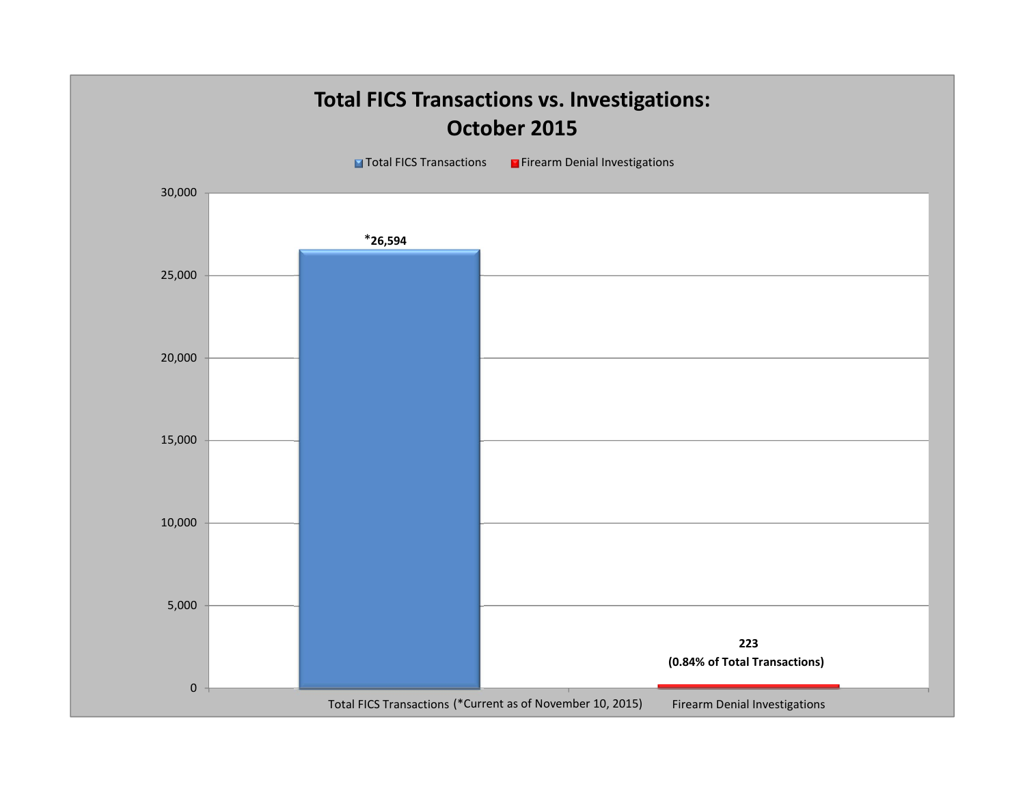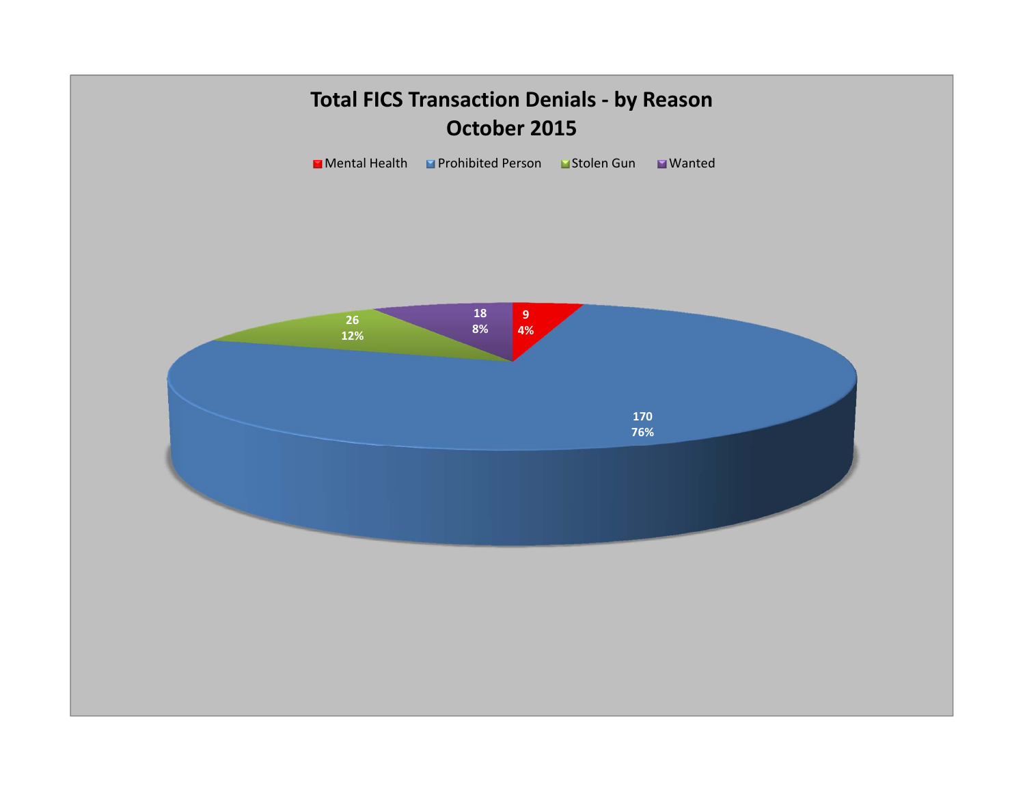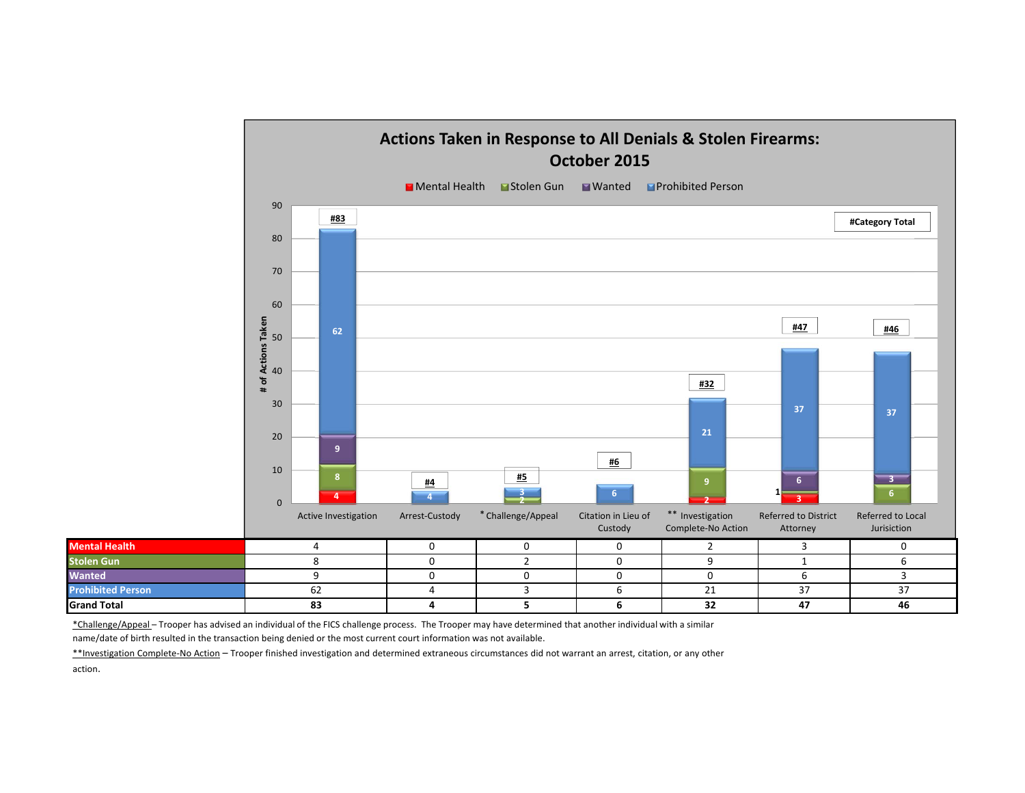

\*Challenge/Appeal - Trooper has advised an individual of the FICS challenge process. The Trooper may have determined that another individual with a similar name/date of birth resulted in the transaction being denied or the most current court information was not available.

\*\*Investigation Complete-No Action - Trooper finished investigation and determined extraneous circumstances did not warrant an arrest, citation, or any other

action.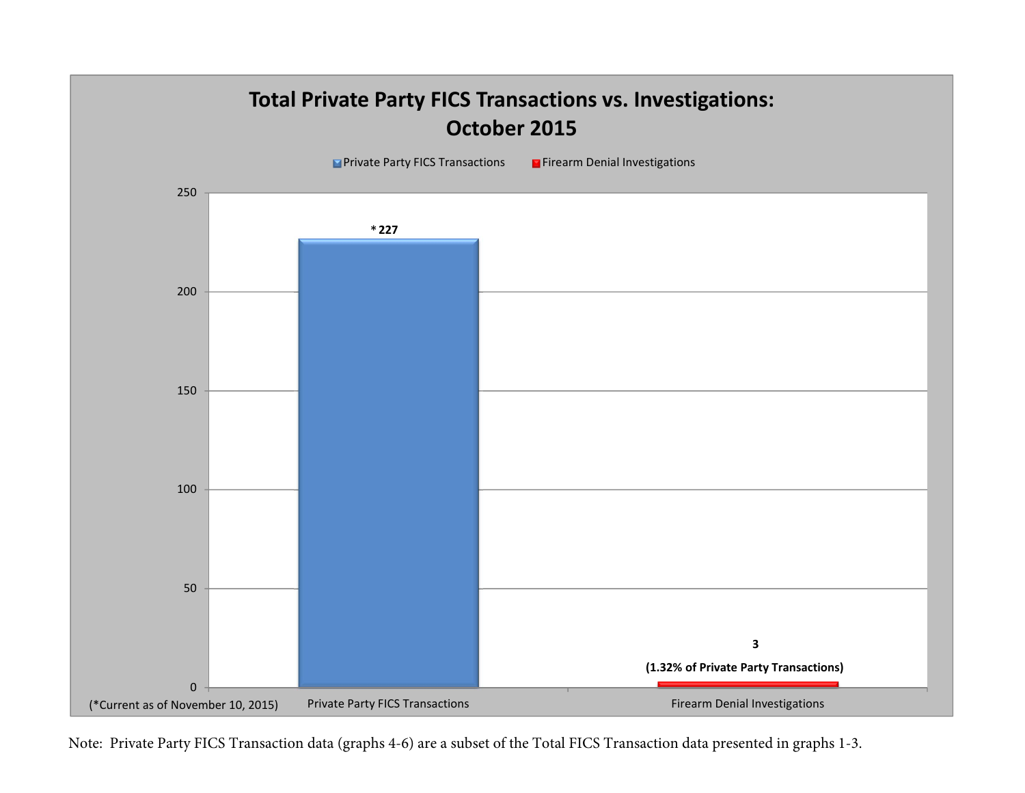

Note: Private Party FICS Transaction data (graphs 4-6) are a subset of the Total FICS Transaction data presented in graphs 1-3.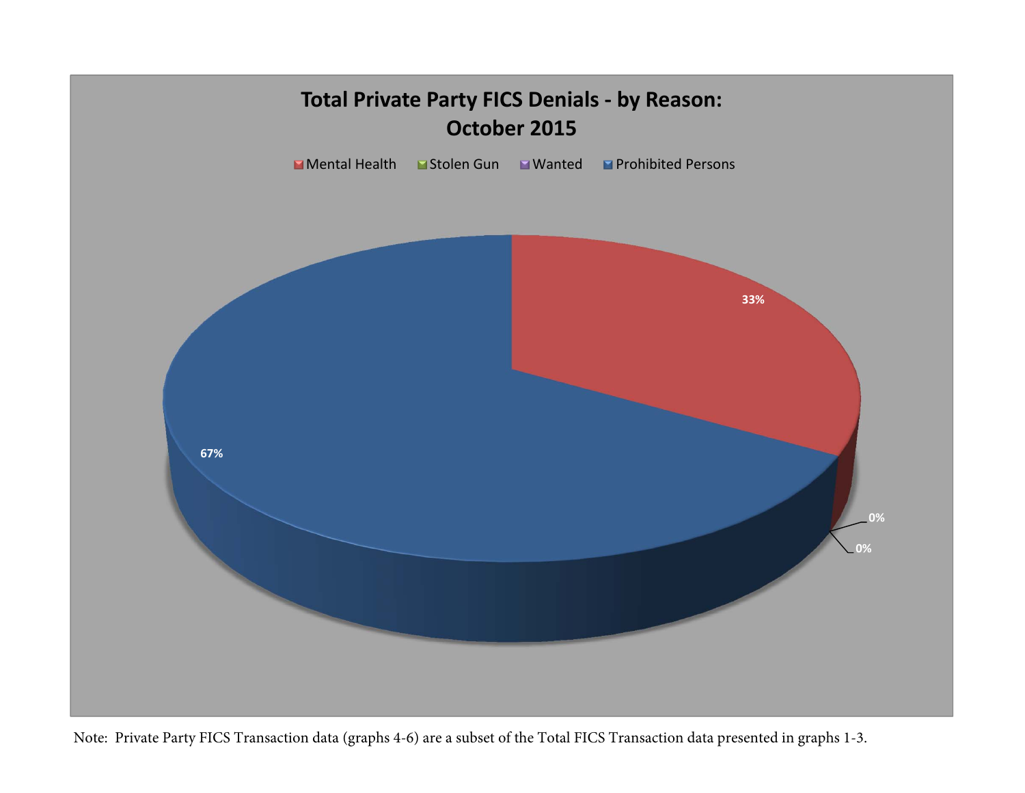

Note: Private Party FICS Transaction data (graphs 4-6) are a subset of the Total FICS Transaction data presented in graphs 1-3.